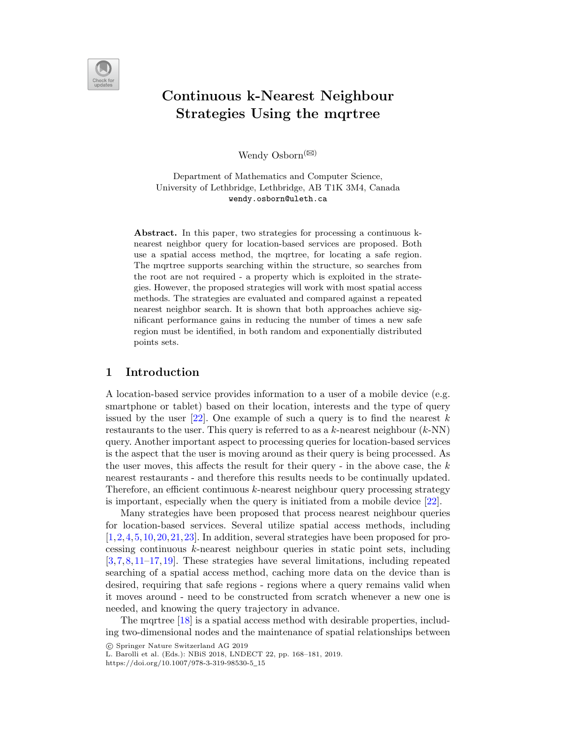

# Continuous k-Nearest Neighbour Strategies Using the mqrtree

Wendy Osborn<sup>( $\boxtimes$ )</sup>

Department of Mathematics and Computer Science, University of Lethbridge, Lethbridge, AB T1K 3M4, Canada wendy.osborn@uleth.ca

Abstract. In this paper, two strategies for processing a continuous knearest neighbor query for location-based services are proposed. Both use a spatial access method, the mqrtree, for locating a safe region. The mqrtree supports searching within the structure, so searches from the root are not required - a property which is exploited in the strategies. However, the proposed strategies will work with most spatial access methods. The strategies are evaluated and compared against a repeated nearest neighbor search. It is shown that both approaches achieve significant performance gains in reducing the number of times a new safe region must be identified, in both random and exponentially distributed points sets.

## 1 Introduction

A location-based service provides information to a user of a mobile device (e.g. smartphone or tablet) based on their location, interests and the type of query issued by the user [22]. One example of such a query is to find the nearest *k* restaurants to the user. This query is referred to as a *k*-nearest neighbour (*k*-NN) query. Another important aspect to processing queries for location-based services is the aspect that the user is moving around as their query is being processed. As the user moves, this affects the result for their query - in the above case, the *k* nearest restaurants - and therefore this results needs to be continually updated. Therefore, an efficient continuous *k*-nearest neighbour query processing strategy is important, especially when the query is initiated from a mobile device [22].

Many strategies have been proposed that process nearest neighbour queries for location-based services. Several utilize spatial access methods, including  $[1,2,4,5,10,20,21,23]$ . In addition, several strategies have been proposed for processing continuous *k*-nearest neighbour queries in static point sets, including  $[3,7,8,11-17,19]$ . These strategies have several limitations, including repeated searching of a spatial access method, caching more data on the device than is desired, requiring that safe regions - regions where a query remains valid when it moves around - need to be constructed from scratch whenever a new one is needed, and knowing the query trajectory in advance.

The mqrtree [18] is a spatial access method with desirable properties, including two-dimensional nodes and the maintenance of spatial relationships between

<sup>⃝</sup>c Springer Nature Switzerland AG 2019

L. Barolli et al. (Eds.): NBiS 2018, LNDECT 22, pp. 168–181, 2019.

https://doi.org/10.1007/978-3-319-98530-5\_15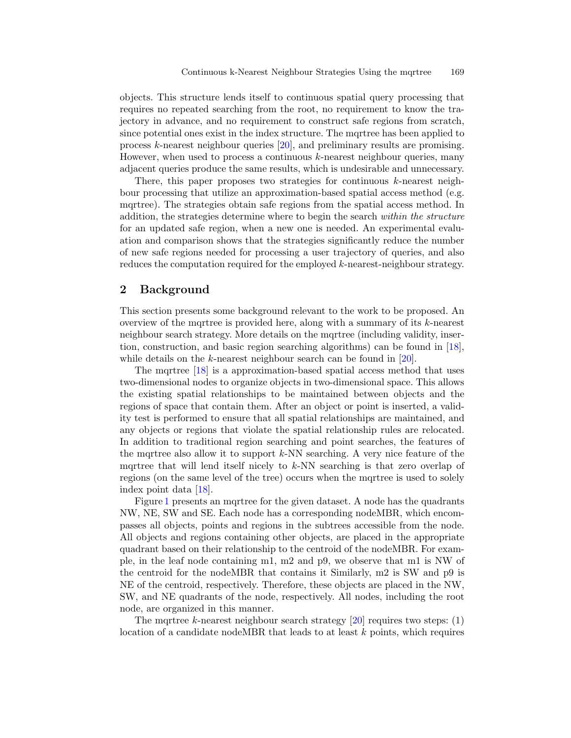objects. This structure lends itself to continuous spatial query processing that requires no repeated searching from the root, no requirement to know the trajectory in advance, and no requirement to construct safe regions from scratch, since potential ones exist in the index structure. The mqrtree has been applied to process *k*-nearest neighbour queries [20], and preliminary results are promising. However, when used to process a continuous *k*-nearest neighbour queries, many adjacent queries produce the same results, which is undesirable and unnecessary.

There, this paper proposes two strategies for continuous *k*-nearest neighbour processing that utilize an approximation-based spatial access method (e.g. mqrtree). The strategies obtain safe regions from the spatial access method. In addition, the strategies determine where to begin the search *within the structure* for an updated safe region, when a new one is needed. An experimental evaluation and comparison shows that the strategies significantly reduce the number of new safe regions needed for processing a user trajectory of queries, and also reduces the computation required for the employed *k*-nearest-neighbour strategy.

# 2 Background

This section presents some background relevant to the work to be proposed. An overview of the mqrtree is provided here, along with a summary of its *k*-nearest neighbour search strategy. More details on the mqrtree (including validity, insertion, construction, and basic region searching algorithms) can be found in [18], while details on the *k*-nearest neighbour search can be found in [20].

The mqrtree [18] is a approximation-based spatial access method that uses two-dimensional nodes to organize objects in two-dimensional space. This allows the existing spatial relationships to be maintained between objects and the regions of space that contain them. After an object or point is inserted, a validity test is performed to ensure that all spatial relationships are maintained, and any objects or regions that violate the spatial relationship rules are relocated. In addition to traditional region searching and point searches, the features of the mqrtree also allow it to support *k*-NN searching. A very nice feature of the mqrtree that will lend itself nicely to *k*-NN searching is that zero overlap of regions (on the same level of the tree) occurs when the mqrtree is used to solely index point data [18].

Figure 1 presents an mqrtree for the given dataset. A node has the quadrants NW, NE, SW and SE. Each node has a corresponding nodeMBR, which encompasses all objects, points and regions in the subtrees accessible from the node. All objects and regions containing other objects, are placed in the appropriate quadrant based on their relationship to the centroid of the nodeMBR. For example, in the leaf node containing m1, m2 and p9, we observe that m1 is NW of the centroid for the nodeMBR that contains it Similarly, m2 is SW and p9 is NE of the centroid, respectively. Therefore, these objects are placed in the NW, SW, and NE quadrants of the node, respectively. All nodes, including the root node, are organized in this manner.

The mqrtree *k*-nearest neighbour search strategy [20] requires two steps: (1) location of a candidate nodeMBR that leads to at least *k* points, which requires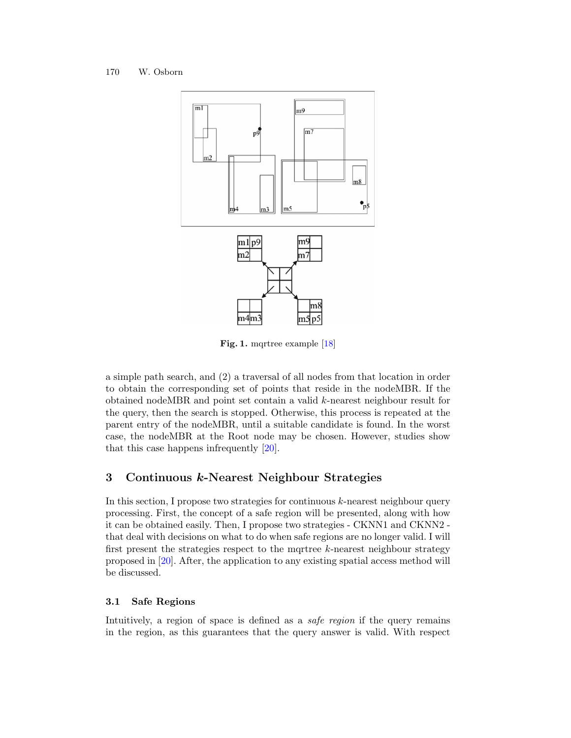

Fig. 1. mqrtree example [18]

a simple path search, and (2) a traversal of all nodes from that location in order to obtain the corresponding set of points that reside in the nodeMBR. If the obtained nodeMBR and point set contain a valid *k*-nearest neighbour result for the query, then the search is stopped. Otherwise, this process is repeated at the parent entry of the nodeMBR, until a suitable candidate is found. In the worst case, the nodeMBR at the Root node may be chosen. However, studies show that this case happens infrequently [20].

# 3 Continuous *k*-Nearest Neighbour Strategies

In this section, I propose two strategies for continuous *k*-nearest neighbour query processing. First, the concept of a safe region will be presented, along with how it can be obtained easily. Then, I propose two strategies - CKNN1 and CKNN2 that deal with decisions on what to do when safe regions are no longer valid. I will first present the strategies respect to the mqrtree *k*-nearest neighbour strategy proposed in [20]. After, the application to any existing spatial access method will be discussed.

## 3.1 Safe Regions

Intuitively, a region of space is defined as a *safe region* if the query remains in the region, as this guarantees that the query answer is valid. With respect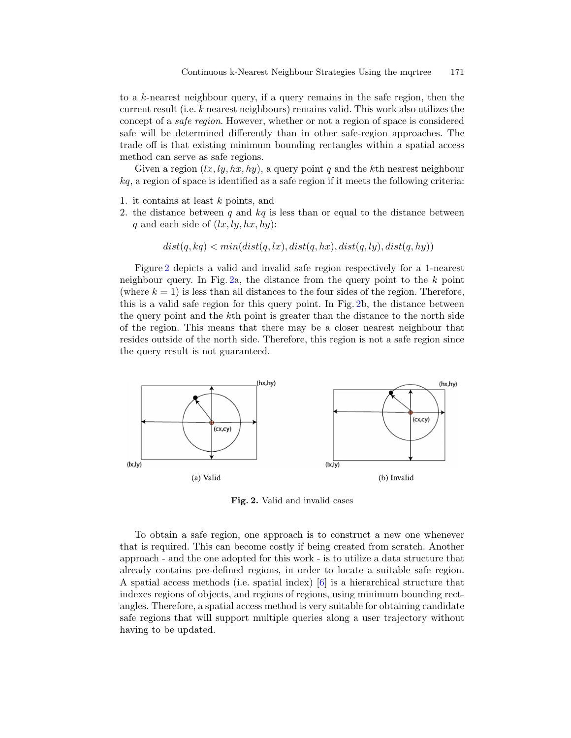to a *k*-nearest neighbour query, if a query remains in the safe region, then the current result (i.e. *k* nearest neighbours) remains valid. This work also utilizes the concept of a *safe region*. However, whether or not a region of space is considered safe will be determined differently than in other safe-region approaches. The trade off is that existing minimum bounding rectangles within a spatial access method can serve as safe regions.

Given a region (*lx, ly, hx, hy*), a query point *q* and the *k*th nearest neighbour *kq*, a region of space is identified as a safe region if it meets the following criteria:

- 1. it contains at least *k* points, and
- 2. the distance between *q* and *kq* is less than or equal to the distance between *q* and each side of (*lx, ly, hx, hy*):

$$
dist(q, kq) < min(dist(q, lx), dist(q, hx), dist(q, ly), dist(q, hy))
$$

Figure 2 depicts a valid and invalid safe region respectively for a 1-nearest neighbour query. In Fig. 2a, the distance from the query point to the *k* point (where  $k = 1$ ) is less than all distances to the four sides of the region. Therefore, this is a valid safe region for this query point. In Fig. 2b, the distance between the query point and the *k*th point is greater than the distance to the north side of the region. This means that there may be a closer nearest neighbour that resides outside of the north side. Therefore, this region is not a safe region since the query result is not guaranteed.



Fig. 2. Valid and invalid cases

To obtain a safe region, one approach is to construct a new one whenever that is required. This can become costly if being created from scratch. Another approach - and the one adopted for this work - is to utilize a data structure that already contains pre-defined regions, in order to locate a suitable safe region. A spatial access methods (i.e. spatial index) [6] is a hierarchical structure that indexes regions of objects, and regions of regions, using minimum bounding rectangles. Therefore, a spatial access method is very suitable for obtaining candidate safe regions that will support multiple queries along a user trajectory without having to be updated.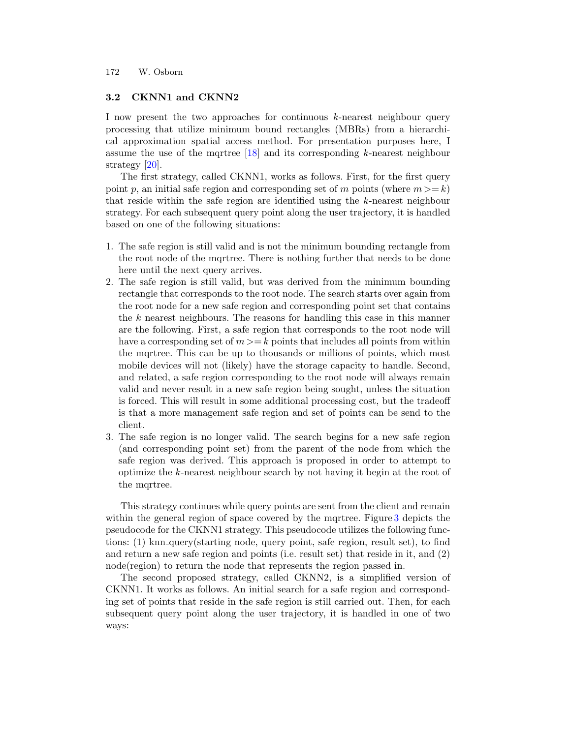## 3.2 CKNN1 and CKNN2

I now present the two approaches for continuous *k*-nearest neighbour query processing that utilize minimum bound rectangles (MBRs) from a hierarchical approximation spatial access method. For presentation purposes here, I assume the use of the mqrtree [18] and its corresponding *k*-nearest neighbour strategy [20].

The first strategy, called CKNN1, works as follows. First, for the first query point *p*, an initial safe region and corresponding set of *m* points (where  $m \geq k$ ) that reside within the safe region are identified using the *k*-nearest neighbour strategy. For each subsequent query point along the user trajectory, it is handled based on one of the following situations:

- 1. The safe region is still valid and is not the minimum bounding rectangle from the root node of the mqrtree. There is nothing further that needs to be done here until the next query arrives.
- 2. The safe region is still valid, but was derived from the minimum bounding rectangle that corresponds to the root node. The search starts over again from the root node for a new safe region and corresponding point set that contains the *k* nearest neighbours. The reasons for handling this case in this manner are the following. First, a safe region that corresponds to the root node will have a corresponding set of  $m \geq k$  points that includes all points from within the mqrtree. This can be up to thousands or millions of points, which most mobile devices will not (likely) have the storage capacity to handle. Second, and related, a safe region corresponding to the root node will always remain valid and never result in a new safe region being sought, unless the situation is forced. This will result in some additional processing cost, but the tradeoff is that a more management safe region and set of points can be send to the client.
- 3. The safe region is no longer valid. The search begins for a new safe region (and corresponding point set) from the parent of the node from which the safe region was derived. This approach is proposed in order to attempt to optimize the *k*-nearest neighbour search by not having it begin at the root of the mqrtree.

This strategy continues while query points are sent from the client and remain within the general region of space covered by the mqrtree. Figure 3 depicts the pseudocode for the CKNN1 strategy. This pseudocode utilizes the following functions: (1) knn query(starting node, query point, safe region, result set), to find and return a new safe region and points (i.e. result set) that reside in it, and (2) node(region) to return the node that represents the region passed in.

The second proposed strategy, called CKNN2, is a simplified version of CKNN1. It works as follows. An initial search for a safe region and corresponding set of points that reside in the safe region is still carried out. Then, for each subsequent query point along the user trajectory, it is handled in one of two ways: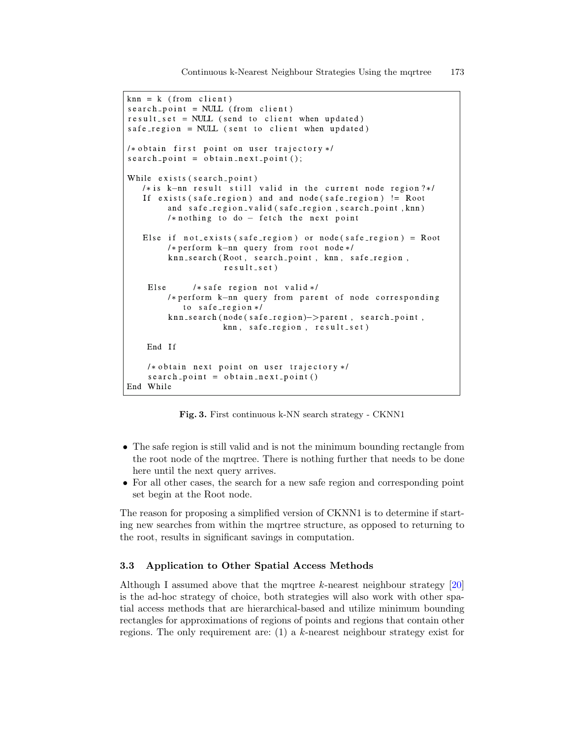```
knn = k (from client)
search\_point = NULL (from client)result_set = NULL (send to client when updated)
safe_region = NULL (sent to client when updated)
/* obtain first point on user trajectory */
search\_point = obtain\_next\_point();
While exists (search_point)
   /* is k-nn result still valid in the current node region ?*/If exists (safe_region) and and node (safe_region) != Root
        and safe_region_valid (safe_region, search_point, knn)
        /* nothing to do - fetch the next point
   Else if not exists(safe-region) or node(safe-region) = Root/* perform k-nn query from root node */
        knn_search(Root, search_point, knn, safe_region,
                   result_set)Else
             /*safe region not valid */
        /*perform k-nn query from parent of node corresponding
           to safe\_region*/knn_search(node(safe_region)->parent, search_point,
                   knn, safe_region, result_set)
    End If
    /* obtain next point on user trajectory */
    search\_point = obtain\_next\_point()End While
```
Fig. 3. First continuous k-NN search strategy - CKNN1

- The safe region is still valid and is not the minimum bounding rectangle from the root node of the mqrtree. There is nothing further that needs to be done here until the next query arrives.
- For all other cases, the search for a new safe region and corresponding point set begin at the Root node.

The reason for proposing a simplified version of CKNN1 is to determine if starting new searches from within the mqrtree structure, as opposed to returning to the root, results in significant savings in computation.

#### 3.3 Application to Other Spatial Access Methods

Although I assumed above that the mqrtree *k*-nearest neighbour strategy [20] is the ad-hoc strategy of choice, both strategies will also work with other spatial access methods that are hierarchical-based and utilize minimum bounding rectangles for approximations of regions of points and regions that contain other regions. The only requirement are: (1) a *k*-nearest neighbour strategy exist for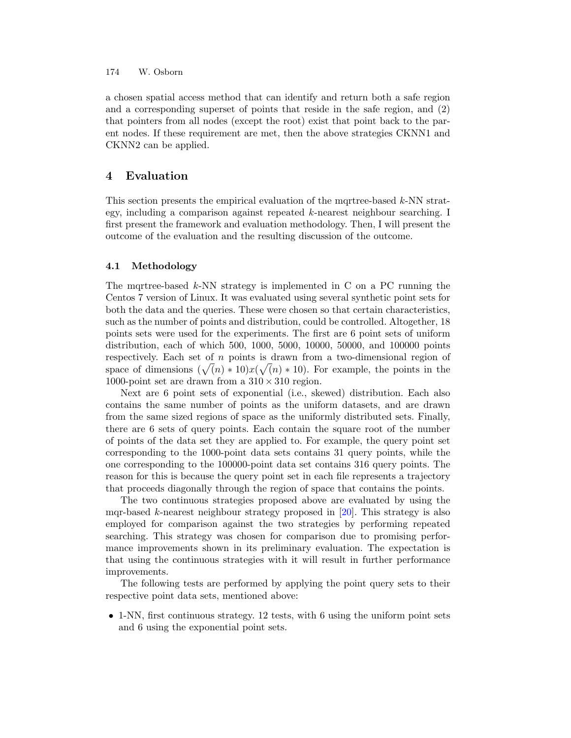a chosen spatial access method that can identify and return both a safe region and a corresponding superset of points that reside in the safe region, and (2) that pointers from all nodes (except the root) exist that point back to the parent nodes. If these requirement are met, then the above strategies CKNN1 and CKNN2 can be applied.

## 4 Evaluation

This section presents the empirical evaluation of the mqrtree-based *k*-NN strategy, including a comparison against repeated *k*-nearest neighbour searching. I first present the framework and evaluation methodology. Then, I will present the outcome of the evaluation and the resulting discussion of the outcome.

#### 4.1 Methodology

The mqrtree-based *k*-NN strategy is implemented in C on a PC running the Centos 7 version of Linux. It was evaluated using several synthetic point sets for both the data and the queries. These were chosen so that certain characteristics, such as the number of points and distribution, could be controlled. Altogether, 18 points sets were used for the experiments. The first are 6 point sets of uniform distribution, each of which 500, 1000, 5000, 10000, 50000, and 100000 points respectively. Each set of *n* points is drawn from a two-dimensional region of space of dimensions  $(\sqrt(n) * 10)x(\sqrt(n) * 10)$ . For example, the points in the 1000-point set are drawn from a  $310 \times 310$  region.

Next are 6 point sets of exponential (i.e., skewed) distribution. Each also contains the same number of points as the uniform datasets, and are drawn from the same sized regions of space as the uniformly distributed sets. Finally, there are 6 sets of query points. Each contain the square root of the number of points of the data set they are applied to. For example, the query point set corresponding to the 1000-point data sets contains 31 query points, while the one corresponding to the 100000-point data set contains 316 query points. The reason for this is because the query point set in each file represents a trajectory that proceeds diagonally through the region of space that contains the points.

The two continuous strategies proposed above are evaluated by using the mqr-based *k*-nearest neighbour strategy proposed in [20]. This strategy is also employed for comparison against the two strategies by performing repeated searching. This strategy was chosen for comparison due to promising performance improvements shown in its preliminary evaluation. The expectation is that using the continuous strategies with it will result in further performance improvements.

The following tests are performed by applying the point query sets to their respective point data sets, mentioned above:

• 1-NN, first continuous strategy. 12 tests, with 6 using the uniform point sets and 6 using the exponential point sets.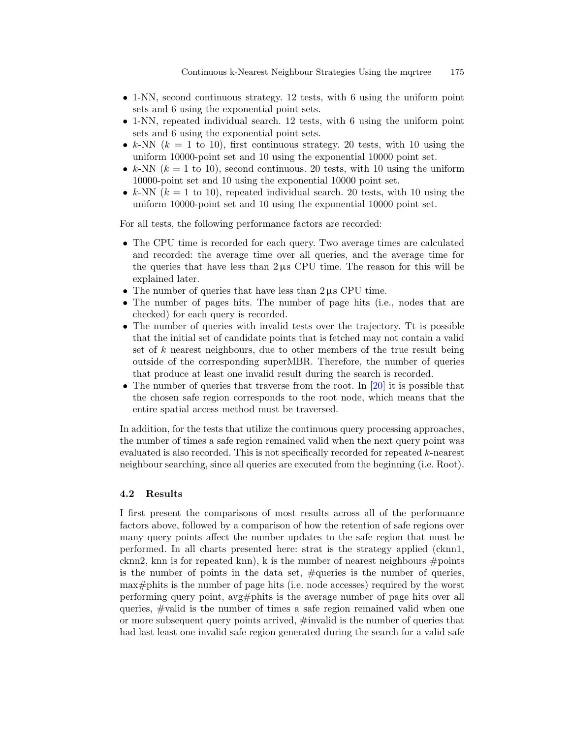- 1-NN, second continuous strategy. 12 tests, with 6 using the uniform point sets and 6 using the exponential point sets.
- 1-NN, repeated individual search. 12 tests, with 6 using the uniform point sets and 6 using the exponential point sets.
- $k$ -NN  $(k = 1$  to 10), first continuous strategy. 20 tests, with 10 using the uniform 10000-point set and 10 using the exponential 10000 point set.
- $k$ -NN  $(k = 1$  to 10), second continuous. 20 tests, with 10 using the uniform 10000-point set and 10 using the exponential 10000 point set.
- $k$ -NN ( $k = 1$  to 10), repeated individual search. 20 tests, with 10 using the uniform 10000-point set and 10 using the exponential 10000 point set.

For all tests, the following performance factors are recorded:

- The CPU time is recorded for each query. Two average times are calculated and recorded: the average time over all queries, and the average time for the queries that have less than  $2 \mu s$  CPU time. The reason for this will be explained later.
- *•* The number of queries that have less than 2µs CPU time.
- The number of pages hits. The number of page hits (i.e., nodes that are checked) for each query is recorded.
- The number of queries with invalid tests over the trajectory. Tt is possible that the initial set of candidate points that is fetched may not contain a valid set of *k* nearest neighbours, due to other members of the true result being outside of the corresponding superMBR. Therefore, the number of queries that produce at least one invalid result during the search is recorded.
- The number of queries that traverse from the root. In [20] it is possible that the chosen safe region corresponds to the root node, which means that the entire spatial access method must be traversed.

In addition, for the tests that utilize the continuous query processing approaches, the number of times a safe region remained valid when the next query point was evaluated is also recorded. This is not specifically recorded for repeated *k*-nearest neighbour searching, since all queries are executed from the beginning (i.e. Root).

#### 4.2 Results

I first present the comparisons of most results across all of the performance factors above, followed by a comparison of how the retention of safe regions over many query points affect the number updates to the safe region that must be performed. In all charts presented here: strat is the strategy applied (cknn1, cknn2, knn is for repeated knn), k is the number of nearest neighbours  $\#$ points is the number of points in the data set,  $\#$ queries is the number of queries, max#phits is the number of page hits (i.e. node accesses) required by the worst performing query point, avg#phits is the average number of page hits over all queries, #valid is the number of times a safe region remained valid when one or more subsequent query points arrived, #invalid is the number of queries that had last least one invalid safe region generated during the search for a valid safe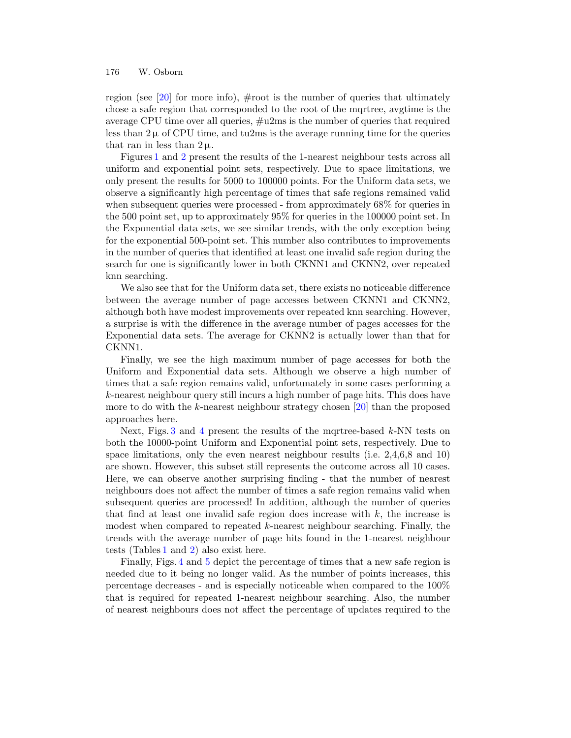region (see [20] for more info),  $\#$ root is the number of queries that ultimately chose a safe region that corresponded to the root of the mqrtree, avgtime is the average CPU time over all queries,  $\#u2ms$  is the number of queries that required less than  $2\mu$  of CPU time, and tu2ms is the average running time for the queries that ran in less than  $2\mu$ .

Figures 1 and 2 present the results of the 1-nearest neighbour tests across all uniform and exponential point sets, respectively. Due to space limitations, we only present the results for 5000 to 100000 points. For the Uniform data sets, we observe a significantly high percentage of times that safe regions remained valid when subsequent queries were processed - from approximately 68% for queries in the 500 point set, up to approximately 95% for queries in the 100000 point set. In the Exponential data sets, we see similar trends, with the only exception being for the exponential 500-point set. This number also contributes to improvements in the number of queries that identified at least one invalid safe region during the search for one is significantly lower in both CKNN1 and CKNN2, over repeated knn searching.

We also see that for the Uniform data set, there exists no noticeable difference between the average number of page accesses between CKNN1 and CKNN2, although both have modest improvements over repeated knn searching. However, a surprise is with the difference in the average number of pages accesses for the Exponential data sets. The average for CKNN2 is actually lower than that for CKNN1.

Finally, we see the high maximum number of page accesses for both the Uniform and Exponential data sets. Although we observe a high number of times that a safe region remains valid, unfortunately in some cases performing a *k*-nearest neighbour query still incurs a high number of page hits. This does have more to do with the *k*-nearest neighbour strategy chosen [20] than the proposed approaches here.

Next, Figs. 3 and 4 present the results of the mqrtree-based *k*-NN tests on both the 10000-point Uniform and Exponential point sets, respectively. Due to space limitations, only the even nearest neighbour results (i.e. 2,4,6,8 and 10) are shown. However, this subset still represents the outcome across all 10 cases. Here, we can observe another surprising finding - that the number of nearest neighbours does not affect the number of times a safe region remains valid when subsequent queries are processed! In addition, although the number of queries that find at least one invalid safe region does increase with *k*, the increase is modest when compared to repeated *k*-nearest neighbour searching. Finally, the trends with the average number of page hits found in the 1-nearest neighbour tests (Tables 1 and 2) also exist here.

Finally, Figs. 4 and 5 depict the percentage of times that a new safe region is needed due to it being no longer valid. As the number of points increases, this percentage decreases - and is especially noticeable when compared to the 100% that is required for repeated 1-nearest neighbour searching. Also, the number of nearest neighbours does not affect the percentage of updates required to the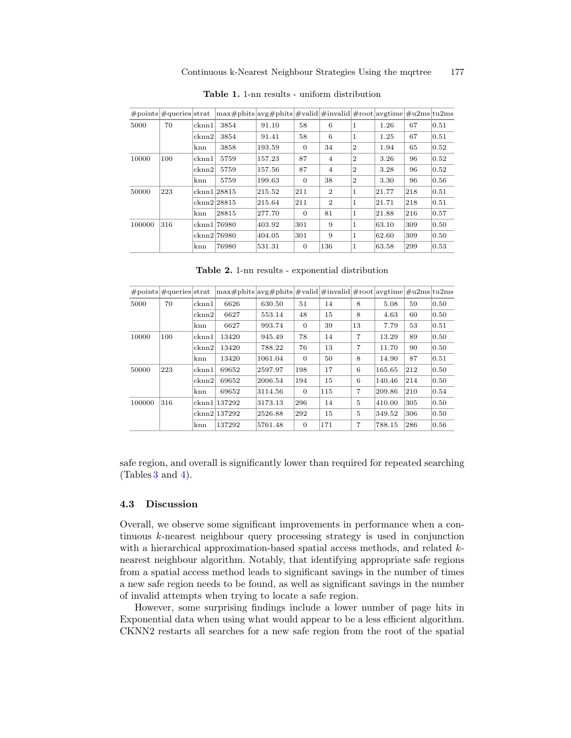|        | $\#$ points $\#$ queries strat |             | $\max\# \text{plits}$ avg#phits $\#$ valid $\#$ invalid $\#$ root avgtime $\#$ u2ms tu2ms |        |          |                |                |       |     |      |
|--------|--------------------------------|-------------|-------------------------------------------------------------------------------------------|--------|----------|----------------|----------------|-------|-----|------|
| 5000   | 70                             | $\rm cknn1$ | 3854                                                                                      | 91.10  | 58       | 6              | 1              | 1.26  | 67  | 0.51 |
|        |                                | cknn2       | 3854                                                                                      | 91.41  | 58       | 6              | 1              | 1.25  | 67  | 0.51 |
|        |                                | knn         | 3858                                                                                      | 193.59 | $\Omega$ | 34             | $\overline{2}$ | 1.94  | 65  | 0.52 |
| 10000  | 100                            | cknn1       | 5759                                                                                      | 157.23 | 87       | $\overline{4}$ | $\overline{2}$ | 3.26  | 96  | 0.52 |
|        |                                | cknn2       | 5759                                                                                      | 157.56 | 87       | $\overline{4}$ | $\overline{2}$ | 3.28  | 96  | 0.52 |
|        |                                | knn         | 5759                                                                                      | 199.63 | $\theta$ | 38             | $\overline{2}$ | 3.30  | 96  | 0.56 |
| 50000  | 223                            |             | cknn1 28815                                                                               | 215.52 | 211      | $\overline{2}$ | 1              | 21.77 | 218 | 0.51 |
|        |                                |             | cknn2 28815                                                                               | 215.64 | 211      | $\overline{2}$ | 1              | 21.71 | 218 | 0.51 |
|        |                                | knn         | 28815                                                                                     | 277.70 | $\theta$ | 81             | 1              | 21.88 | 216 | 0.57 |
| 100000 | 316                            |             | cknn1 76980                                                                               | 403.92 | 301      | 9              | 1              | 63.10 | 309 | 0.50 |
|        |                                |             | cknn2 76980                                                                               | 404.05 | 301      | 9              | 1              | 62.60 | 309 | 0.50 |
|        |                                | knn         | 76980                                                                                     | 531.31 | $\Omega$ | 136            | 1              | 63.58 | 299 | 0.53 |

Table 1. 1-nn results - uniform distribution

Table 2. 1-nn results - exponential distribution

|        | $\#$ points $\#$ queries strat |             | $\max\# \text{plits}$ avg $\# \text{plits}$ $\# \text{valid}$ $\# \text{invalid}$ $\# \text{root}$ avgtime $\# \text{u2ms}$ tu2ms |         |          |     |    |        |     |      |
|--------|--------------------------------|-------------|-----------------------------------------------------------------------------------------------------------------------------------|---------|----------|-----|----|--------|-----|------|
| 5000   | 70                             | cknn1       | 6626                                                                                                                              | 630.50  | 51       | 14  | 8  | 5.08   | 59  | 0.50 |
|        |                                | cknn2       | 6627                                                                                                                              | 553.14  | 48       | 15  | 8  | 4.63   | 60  | 0.50 |
|        |                                | knn         | 6627                                                                                                                              | 993.74  | $\theta$ | 39  | 13 | 7.79   | 53  | 0.51 |
| 10000  | 100                            | $c$ knn $1$ | 13420                                                                                                                             | 945.49  | 78       | 14  | 7  | 13.29  | 89  | 0.50 |
|        |                                | cknn2       | 13420                                                                                                                             | 788.22  | 76       | 13  | 7  | 11.70  | 90  | 0.50 |
|        |                                | knn         | 13420                                                                                                                             | 1061.04 | $\theta$ | 50  | 8  | 14.90  | 87  | 0.51 |
| 50000  | 223                            | $c$ knn $1$ | 69652                                                                                                                             | 2597.97 | 198      | 17  | 6  | 165.65 | 212 | 0.50 |
|        |                                | cknn2       | 69652                                                                                                                             | 2006.54 | 194      | 15  | 6  | 140.46 | 214 | 0.50 |
|        |                                | knn         | 69652                                                                                                                             | 3114.56 | $\theta$ | 115 | 7  | 209.86 | 210 | 0.54 |
| 100000 | 316                            |             | cknn1 137292                                                                                                                      | 3173.13 | 296      | 14  | 5  | 410.00 | 305 | 0.50 |
|        |                                |             | cknn2 137292                                                                                                                      | 2526.88 | 292      | 15  | 5  | 349.52 | 306 | 0.50 |
|        |                                | knn         | 137292                                                                                                                            | 5761.48 | $\theta$ | 171 | 7  | 788.15 | 286 | 0.56 |

safe region, and overall is significantly lower than required for repeated searching (Tables  $3$  and  $4$ ).

#### 4.3 Discussion

Overall, we observe some significant improvements in performance when a continuous *k*-nearest neighbour query processing strategy is used in conjunction with a hierarchical approximation-based spatial access methods, and related *k*nearest neighbour algorithm. Notably, that identifying appropriate safe regions from a spatial access method leads to significant savings in the number of times a new safe region needs to be found, as well as significant savings in the number of invalid attempts when trying to locate a safe region.

However, some surprising findings include a lower number of page hits in Exponential data when using what would appear to be a less efficient algorithm. CKNN2 restarts all searches for a new safe region from the root of the spatial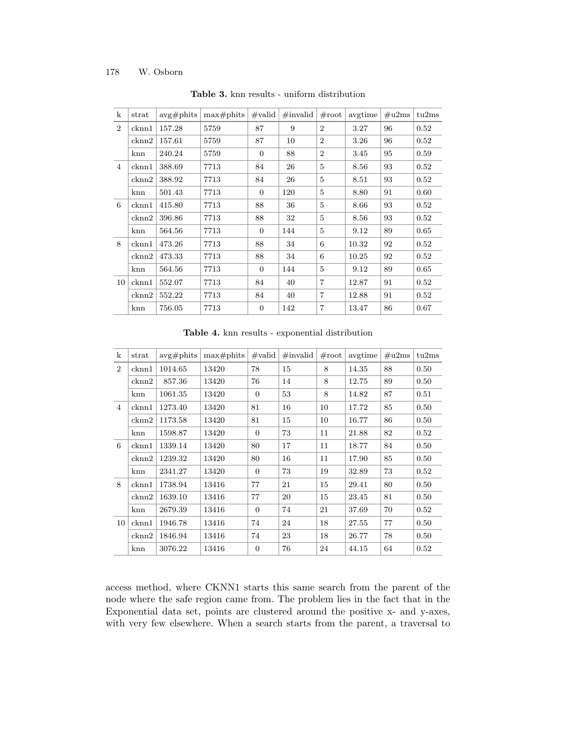| $\mathbf k$    | strat | $avg\#^{phits}$ | $max#^{pts}$ | $\#\text{valid}$ | $\#\text{invalid}$ | $\#\text{root}$ | avgtime | $\#\mathrm{u2ms}$ | tu2ms |
|----------------|-------|-----------------|--------------|------------------|--------------------|-----------------|---------|-------------------|-------|
| 2              | cknn1 | 157.28          | 5759         | 87               | 9                  | $\overline{2}$  | 3.27    | 96                | 0.52  |
|                | cknn2 | 157.61          | 5759         | 87               | 10                 | $\overline{2}$  | 3.26    | 96                | 0.52  |
|                | knn   | 240.24          | 5759         | $\Omega$         | 88                 | $\overline{2}$  | 3.45    | 95                | 0.59  |
| $\overline{4}$ | cknn1 | 388.69          | 7713         | 84               | 26                 | 5               | 8.56    | 93                | 0.52  |
|                | cknn2 | 388.92          | 7713         | 84               | 26                 | 5               | 8.51    | 93                | 0.52  |
|                | knn   | 501.43          | 7713         | $\Omega$         | 120                | 5               | 8.80    | 91                | 0.60  |
| 6              | cknn1 | 415.80          | 7713         | 88               | 36                 | 5               | 8.66    | 93                | 0.52  |
|                | cknn2 | 396.86          | 7713         | 88               | 32                 | 5               | 8.56    | 93                | 0.52  |
|                | knn   | 564.56          | 7713         | $\Omega$         | 144                | 5               | 9.12    | 89                | 0.65  |
| 8              | cknn1 | 473.26          | 7713         | 88               | 34                 | 6               | 10.32   | 92                | 0.52  |
|                | cknn2 | 473.33          | 7713         | 88               | 34                 | 6               | 10.25   | 92                | 0.52  |
|                | knn   | 564.56          | 7713         | $\Omega$         | 144                | 5               | 9.12    | 89                | 0.65  |
| 10             | cknn1 | 552.07          | 7713         | 84               | 40                 | $\overline{7}$  | 12.87   | 91                | 0.52  |
|                | cknn2 | 552.22          | 7713         | 84               | 40                 | 7               | 12.88   | 91                | 0.52  |
|                | knn   | 756.05          | 7713         | $\overline{0}$   | 142                | $\overline{7}$  | 13.47   | 86                | 0.67  |

Table 3. knn results - uniform distribution

Table 4. knn results - exponential distribution

| $\mathbf k$    | strat | $avg\#^{}$ | $max#^{pts}$ | $\#$ valid     | $\#\text{invalid}$ | $\#\text{root}$ | avgtime | $\#\mathrm{u2ms}$ | tu2ms |
|----------------|-------|------------|--------------|----------------|--------------------|-----------------|---------|-------------------|-------|
| $\overline{2}$ | cknn1 | 1014.65    | 13420        | 78             | 15                 | 8               | 14.35   | 88                | 0.50  |
|                | cknn2 | 857.36     | 13420        | 76             | 14                 | 8               | 12.75   | 89                | 0.50  |
|                | knn   | 1061.35    | 13420        | $\overline{0}$ | 53                 | 8               | 14.82   | 87                | 0.51  |
| $\overline{4}$ | cknn1 | 1273.40    | 13420        | 81             | 16                 | 10              | 17.72   | 85                | 0.50  |
|                | cknn2 | 1173.58    | 13420        | 81             | 15                 | 10              | 16.77   | 86                | 0.50  |
|                | knn   | 1598.87    | 13420        | $\overline{0}$ | 73                 | 11              | 21.88   | 82                | 0.52  |
| 6              | cknn1 | 1339.14    | 13420        | 80             | 17                 | 11              | 18.77   | 84                | 0.50  |
|                | cknn2 | 1239.32    | 13420        | 80             | 16                 | 11              | 17.90   | 85                | 0.50  |
|                | knn   | 2341.27    | 13420        | $\Omega$       | 73                 | 19              | 32.89   | 73                | 0.52  |
| 8              | cknn1 | 1738.94    | 13416        | 77             | 21                 | 15              | 29.41   | 80                | 0.50  |
|                | cknn2 | 1639.10    | 13416        | 77             | 20                 | 15              | 23.45   | 81                | 0.50  |
|                | knn   | 2679.39    | 13416        | $\Omega$       | 74                 | 21              | 37.69   | 70                | 0.52  |
| 10             | cknn1 | 1946.78    | 13416        | 74             | 24                 | 18              | 27.55   | 77                | 0.50  |
|                | cknn2 | 1846.94    | 13416        | 74             | 23                 | 18              | 26.77   | 78                | 0.50  |
|                | knn   | 3076.22    | 13416        | $\overline{0}$ | 76                 | 24              | 44.15   | 64                | 0.52  |

access method, where CKNN1 starts this same search from the parent of the node where the safe region came from. The problem lies in the fact that in the Exponential data set, points are clustered around the positive x- and y-axes, with very few elsewhere. When a search starts from the parent, a traversal to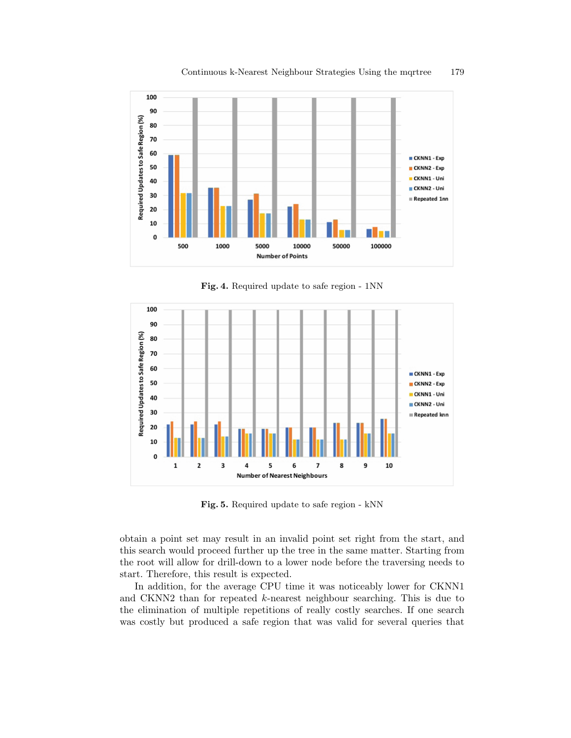

Fig. 4. Required update to safe region - 1NN



Fig. 5. Required update to safe region - kNN

obtain a point set may result in an invalid point set right from the start, and this search would proceed further up the tree in the same matter. Starting from the root will allow for drill-down to a lower node before the traversing needs to start. Therefore, this result is expected.

In addition, for the average CPU time it was noticeably lower for CKNN1 and CKNN2 than for repeated *k*-nearest neighbour searching. This is due to the elimination of multiple repetitions of really costly searches. If one search was costly but produced a safe region that was valid for several queries that